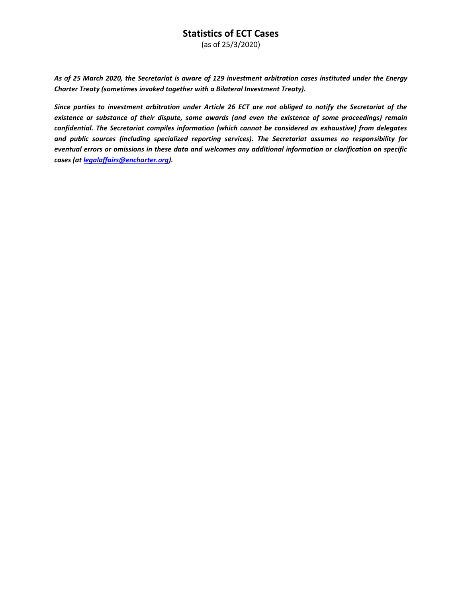(as of 25/3/2020)

*As of 25 March 2020, the Secretariat is aware of 129 investment arbitration cases instituted under the Energy Charter Treaty (sometimes invoked together with a Bilateral Investment Treaty).* 

*Since parties to investment arbitration under Article 26 ECT are not obliged to notify the Secretariat of the existence or substance of their dispute, some awards (and even the existence of some proceedings) remain confidential. The Secretariat compiles information (which cannot be considered as exhaustive) from delegates and public sources (including specialized reporting services). The Secretariat assumes no responsibility for eventual errors or omissions in these data and welcomes any additional information or clarification on specific cases (at [legalaffairs@encharter.org\)](mailto:legalaffairs@encharter.org).*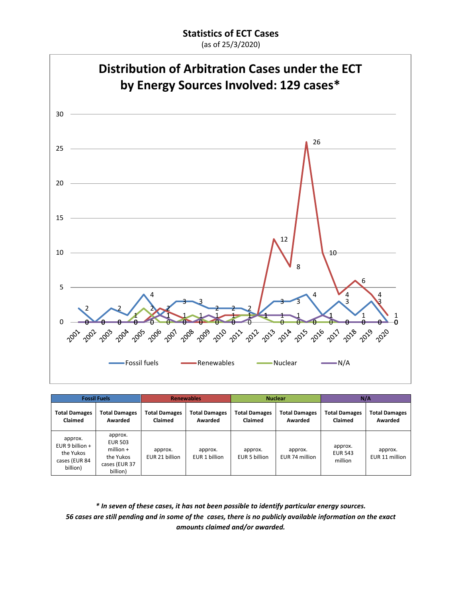(as of 25/3/2020)



| <b>Fossil Fuels</b>                                                    |                                                                                    | <b>Renewables</b>               |                                 | <b>Nuclear</b>                  |                                 | N/A                                  |                                 |
|------------------------------------------------------------------------|------------------------------------------------------------------------------------|---------------------------------|---------------------------------|---------------------------------|---------------------------------|--------------------------------------|---------------------------------|
| <b>Total Damages</b><br>Claimed                                        | <b>Total Damages</b><br>Awarded                                                    | <b>Total Damages</b><br>Claimed | <b>Total Damages</b><br>Awarded | <b>Total Damages</b><br>Claimed | <b>Total Damages</b><br>Awarded | <b>Total Damages</b><br>Claimed      | <b>Total Damages</b><br>Awarded |
| approx.<br>EUR 9 billion $+$<br>the Yukos<br>cases (EUR 84<br>billion) | approx.<br><b>EUR 503</b><br>million $+$<br>the Yukos<br>cases (EUR 37<br>billion) | approx.<br>EUR 21 billion       | approx.<br>EUR 1 billion        | approx.<br>EUR 5 billion        | approx.<br>EUR 74 million       | approx.<br><b>EUR 543</b><br>million | approx.<br>EUR 11 million       |

*\* In seven of these cases, it has not been possible to identify particular energy sources. 56 cases are still pending and in some of the cases, there is no publicly available information on the exact amounts claimed and/or awarded.*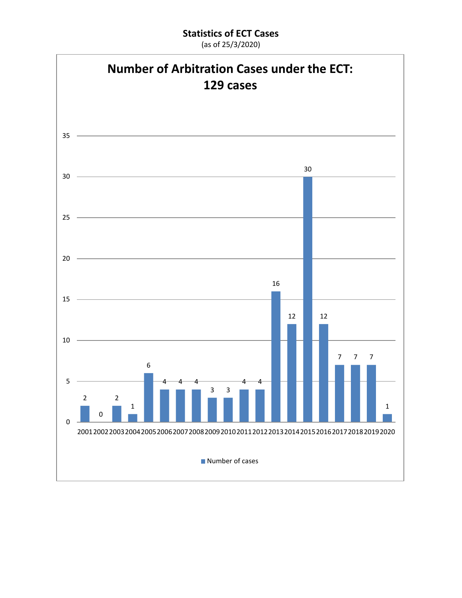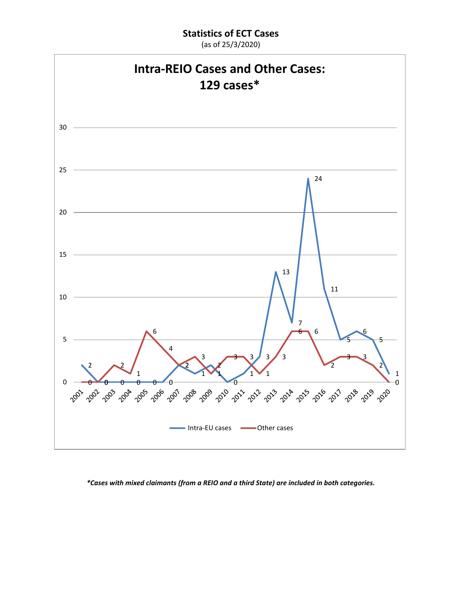

*\*Cases with mixed claimants (from a REIO and a third State) are included in both categories.*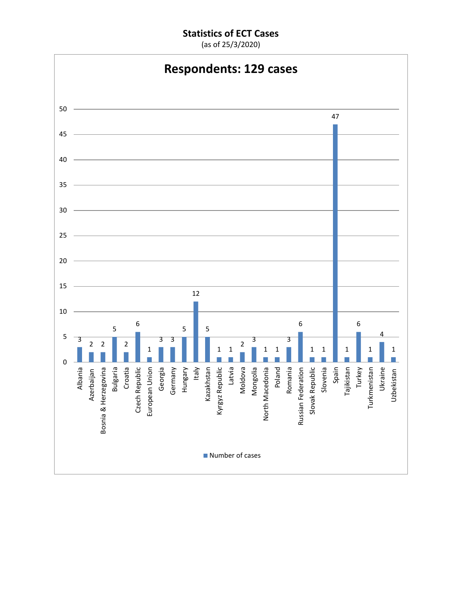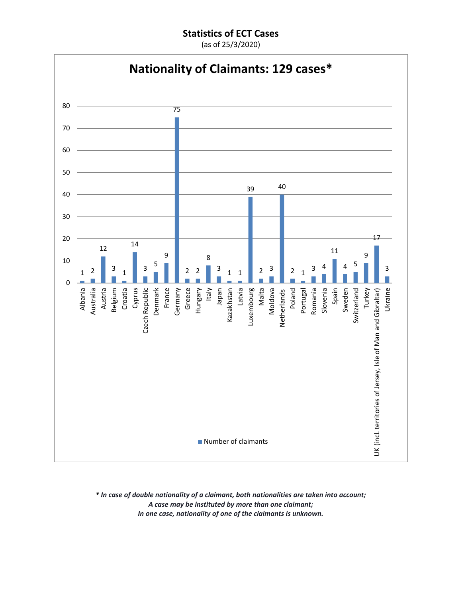(as of 25/3/2020)



*\* In case of double nationality of a claimant, both nationalities are taken into account; A case may be instituted by more than one claimant; In one case, nationality of one of the claimants is unknown.*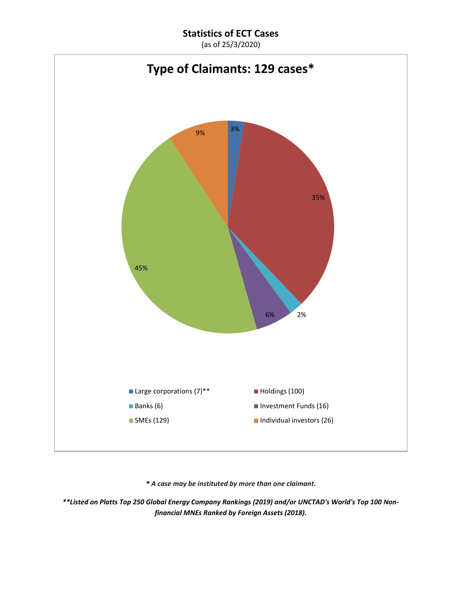(as of 25/3/2020)



*\* A case may be instituted by more than one claimant.*

*\*\*Listed on Platts Top 250 Global Energy Company Rankings (2019) and/or UNCTAD's World's Top 100 Nonfinancial MNEs Ranked by Foreign Assets (2018).*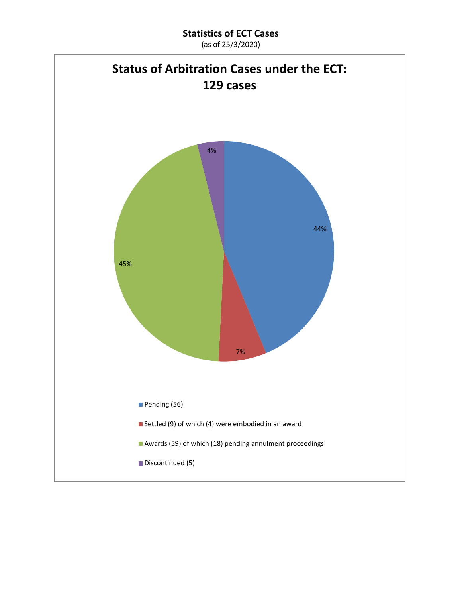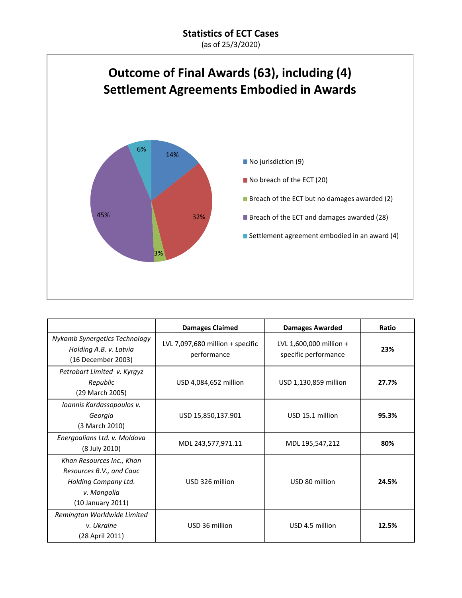

|                                                                                                                   | <b>Damages Claimed</b>                          | <b>Damages Awarded</b>                          | Ratio |
|-------------------------------------------------------------------------------------------------------------------|-------------------------------------------------|-------------------------------------------------|-------|
| Nykomb Synergetics Technology<br>Holding A.B. v. Latvia<br>(16 December 2003)                                     | LVL 7,097,680 million + specific<br>performance | LVL 1,600,000 million +<br>specific performance | 23%   |
| Petrobart Limited v. Kyrgyz<br>Republic<br>(29 March 2005)                                                        | USD 4,084,652 million                           | USD 1,130,859 million                           | 27.7% |
| Ioannis Kardassopoulos v.<br>Georgia<br>(3 March 2010)                                                            | USD 15,850,137.901                              | USD 15.1 million                                | 95.3% |
| Energoalians Ltd. v. Moldova<br>(8 July 2010)                                                                     | MDL 243,577,971.11                              | MDL 195,547,212                                 | 80%   |
| Khan Resources Inc., Khan<br>Resources B.V., and Cauc<br>Holding Company Ltd.<br>v. Mongolia<br>(10 January 2011) | USD 326 million                                 | USD 80 million                                  | 24.5% |
| Remington Worldwide Limited<br>v. Ukraine<br>(28 April 2011)                                                      | USD 36 million                                  | USD 4.5 million                                 | 12.5% |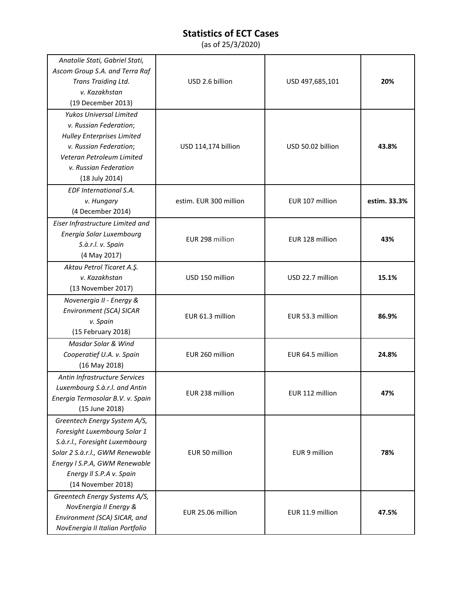| Anatolie Stati, Gabriel Stati,<br>Ascom Group S.A. and Terra Raf<br>Trans Traiding Ltd.<br>v. Kazakhstan<br>(19 December 2013)                                                                                       | USD 2.6 billion        | USD 497,685,101   | 20%          |
|----------------------------------------------------------------------------------------------------------------------------------------------------------------------------------------------------------------------|------------------------|-------------------|--------------|
| Yukos Universal Limited<br>v. Russian Federation;<br><b>Hulley Enterprises Limited</b><br>v. Russian Federation;<br>Veteran Petroleum Limited<br>v. Russian Federation<br>(18 July 2014)                             | USD 114,174 billion    | USD 50.02 billion | 43.8%        |
| EDF International S.A.<br>v. Hungary<br>(4 December 2014)                                                                                                                                                            | estim. EUR 300 million | EUR 107 million   | estim. 33.3% |
| Eiser Infrastructure Limited and<br>Energía Solar Luxembourg<br>S.à.r.l. v. Spain<br>(4 May 2017)                                                                                                                    | EUR 298 million        | EUR 128 million   | 43%          |
| Aktau Petrol Ticaret A.Ş.<br>v. Kazakhstan<br>(13 November 2017)                                                                                                                                                     | USD 150 million        | USD 22.7 million  | 15.1%        |
| Novenergia II - Energy &<br>Environment (SCA) SICAR<br>v. Spain<br>(15 February 2018)                                                                                                                                | EUR 61.3 million       | EUR 53.3 million  | 86.9%        |
| Masdar Solar & Wind<br>Cooperatief U.A. v. Spain<br>(16 May 2018)                                                                                                                                                    | EUR 260 million        | EUR 64.5 million  | 24.8%        |
| Antin Infrastructure Services<br>Luxembourg S.à.r.l. and Antin<br>Energia Termosolar B.V. v. Spain<br>(15 June 2018)                                                                                                 | EUR 238 million        | EUR 112 million   | 47%          |
| Greentech Energy System A/S,<br>Foresight Luxembourg Solar 1<br>S.à.r.l., Foresight Luxembourg<br>Solar 2 S.à.r.l., GWM Renewable<br>Energy I S.P.A, GWM Renewable<br>Energy II S.P.A v. Spain<br>(14 November 2018) | EUR 50 million         | EUR 9 million     | 78%          |
| Greentech Energy Systems A/S,<br>NovEnergia II Energy &<br>Environment (SCA) SICAR, and<br>NovEnergia II Italian Portfolio                                                                                           | EUR 25.06 million      | EUR 11.9 million  | 47.5%        |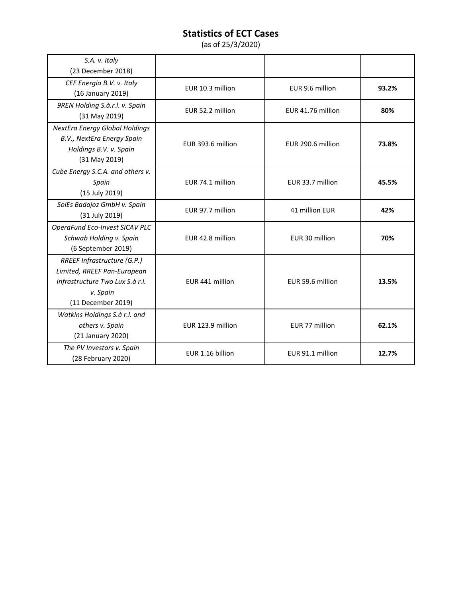| S.A. v. Italy                    |                   |                   |       |
|----------------------------------|-------------------|-------------------|-------|
| (23 December 2018)               |                   |                   |       |
| CEF Energia B.V. v. Italy        | EUR 10.3 million  | EUR 9.6 million   | 93.2% |
| (16 January 2019)                |                   |                   |       |
| 9REN Holding S.à.r.l. v. Spain   | EUR 52.2 million  | EUR 41.76 million | 80%   |
| (31 May 2019)                    |                   |                   |       |
| NextEra Energy Global Holdings   |                   |                   |       |
| B.V., NextEra Energy Spain       | EUR 393.6 million | EUR 290.6 million | 73.8% |
| Holdings B.V. v. Spain           |                   |                   |       |
| (31 May 2019)                    |                   |                   |       |
| Cube Energy S.C.A. and others v. |                   |                   |       |
| Spain                            | EUR 74.1 million  | EUR 33.7 million  | 45.5% |
| (15 July 2019)                   |                   |                   |       |
| SolEs Badajoz GmbH v. Spain      | EUR 97.7 million  | 41 million EUR    | 42%   |
| (31 July 2019)                   |                   |                   |       |
| OperaFund Eco-Invest SICAV PLC   |                   |                   |       |
| Schwab Holding v. Spain          | EUR 42.8 million  | EUR 30 million    | 70%   |
| (6 September 2019)               |                   |                   |       |
| RREEF Infrastructure (G.P.)      |                   |                   |       |
| Limited, RREEF Pan-European      |                   |                   |       |
| Infrastructure Two Lux S.à r.l.  | EUR 441 million   | EUR 59.6 million  | 13.5% |
| v. Spain                         |                   |                   |       |
| (11 December 2019)               |                   |                   |       |
| Watkins Holdings S.à r.l. and    |                   |                   |       |
| others v. Spain                  | EUR 123.9 million | EUR 77 million    | 62.1% |
| (21 January 2020)                |                   |                   |       |
| The PV Investors v. Spain        | EUR 1.16 billion  | EUR 91.1 million  | 12.7% |
| (28 February 2020)               |                   |                   |       |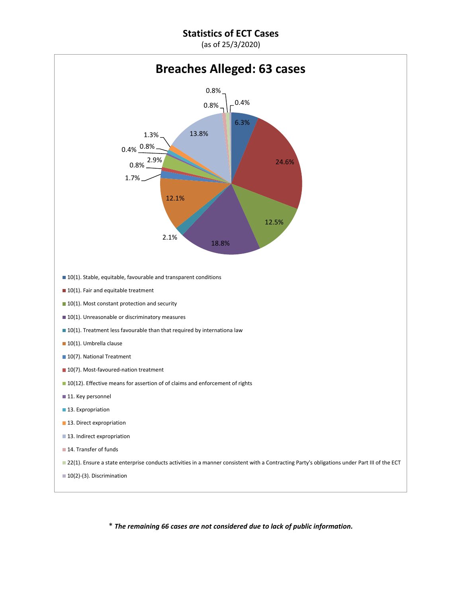(as of 25/3/2020)



\* *The remaining 66 cases are not considered due to lack of public information.*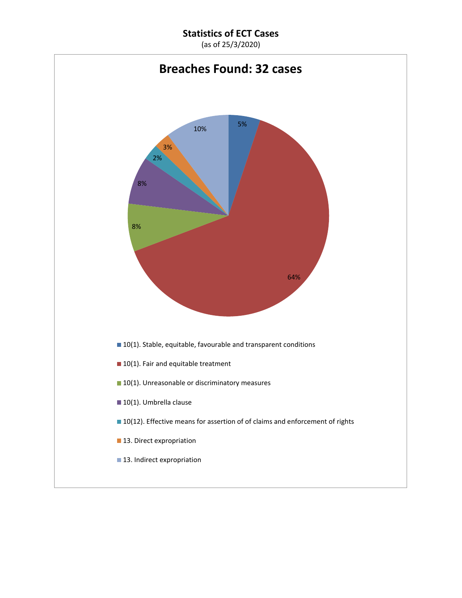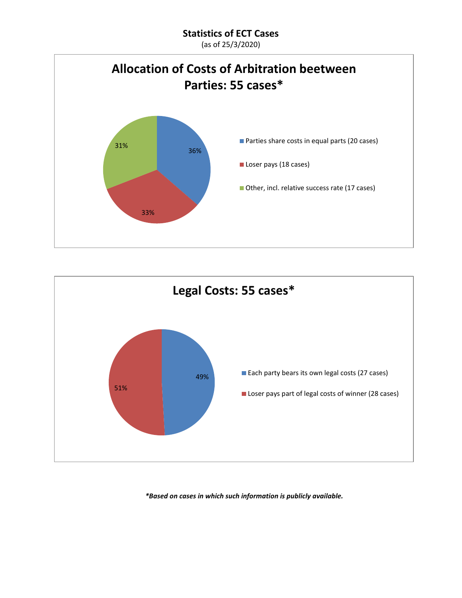(as of 25/3/2020)





*\*Based on cases in which such information is publicly available.*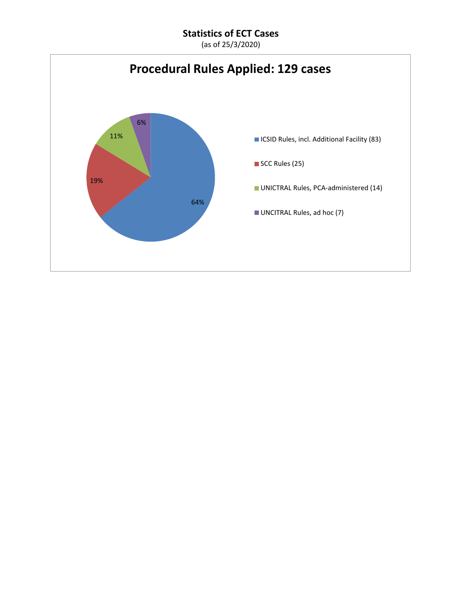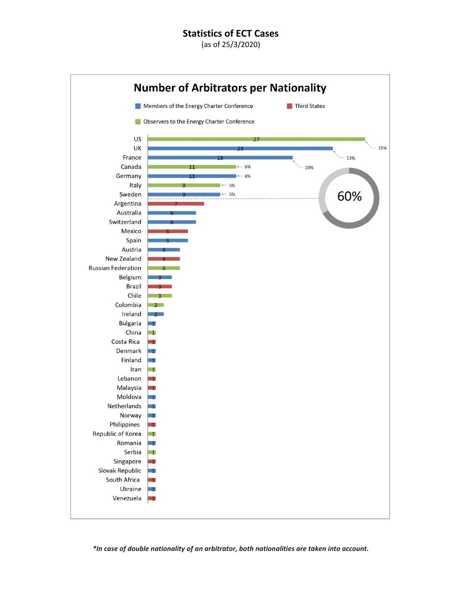(as of 25/3/2020)



*\*In case of double nationality of an arbitrator, both nationalities are taken into account.*